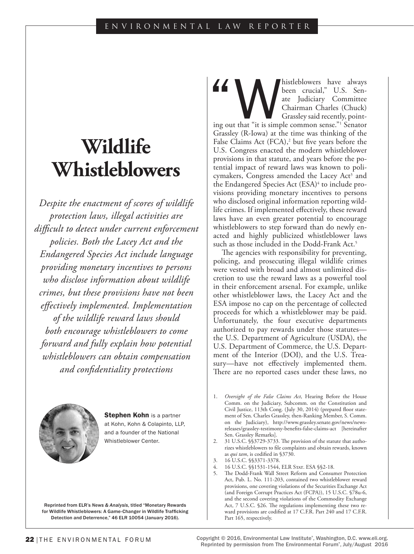# **Wildlife Whistleblowers**

*Despite the enactment of scores of wildlife protection laws, illegal activities are difficult to detect under current enforcement policies. Both the Lacey Act and the Endangered Species Act include language providing monetary incentives to persons who disclose information about wildlife crimes, but these provisions have not been effectively implemented. Implementation of the wildlife reward laws should both encourage whistleblowers to come forward and fully explain how potential whistleblowers can obtain compensation and confidentiality protections*

> **Stephen Kohn** is a partner at Kohn, Kohn & Colapinto, LLP, and a founder of the National Whistleblower Center.

Reprinted from ELR's *News & Analysis*, titled "Monetary Rewards for Wildlife Whistleblowers: A Game-Changer in Wildlife Trafficking Detection and Deterrence," 46 ELR 10054 (January 2016).

A been crucial," U.S. Senate Judiciary Committee Chairman Charles (Chuck) Grassley said recently, pointing out that "it is simple common sense."<sup>1</sup> Senator been crucial," U.S. Senate Judiciary Committee Chairman Charles (Chuck) Grassley said recently, point-Grassley (R-Iowa) at the time was thinking of the False Claims Act (FCA),<sup>2</sup> but five years before the U.S. Congress enacted the modern whistleblower provisions in that statute, and years before the potential impact of reward laws was known to policymakers, Congress amended the Lacey Act<sup>3</sup> and the Endangered Species Act (ESA)<sup>4</sup> to include provisions providing monetary incentives to persons who disclosed original information reporting wildlife crimes. If implemented effectively, these reward laws have an even greater potential to encourage whistleblowers to step forward than do newly enacted and highly publicized whistleblower laws such as those included in the Dodd-Frank Act.<sup>5</sup>

The agencies with responsibility for preventing, policing, and prosecuting illegal wildlife crimes were vested with broad and almost unlimited discretion to use the reward laws as a powerful tool in their enforcement arsenal. For example, unlike other whistleblower laws, the Lacey Act and the ESA impose no cap on the percentage of collected proceeds for which a whistleblower may be paid. Unfortunately, the four executive departments authorized to pay rewards under those statutes the U.S. Department of Agriculture (USDA), the U.S. Department of Commerce, the U.S. Department of the Interior (DOI), and the U.S. Treasury—have not effectively implemented them. There are no reported cases under these laws, no

- 3. 16 U.S.C. §§3371-3378.
- 4. 16 U.S.C. §§1531-1544, ELR Stat. ESA §§2-18.



<sup>1.</sup> *Oversight of the False Claims Act*, Hearing Before the House Comm. on the Judiciary, Subcomm. on the Constitution and Civil Justice, 113th Cong. (July 30, 2014) (prepared floor statement of Sen. Charles Grassley, then-Ranking Member, S. Comm. on the Judiciary), http://www.grassley.senate.gov/news/newsreleases/grassley-testimony-benefits-false-claims-act [hereinafter Sen. Grassley Remarks].

<sup>2.</sup> 31 U.S.C. §§3729-3733. The provision of the statute that authorizes whistleblowers to file complaints and obtain rewards, known as *qui tam*, is codified in §3730.

<sup>5.</sup> The Dodd-Frank Wall Street Reform and Consumer Protection Act, Pub. L. No. 111-203, contained two whistleblower reward provisions, one covering violations of the Securities Exchange Act (and Foreign Corrupt Practices Act (FCPA)), 15 U.S.C. §78u-6, and the second covering violations of the Commodity Exchange Act, 7 U.S.C. §26. The regulations implementing these two reward provisions are codified at 17 C.F.R. Part 240 and 17 C.F.R. Part 165, respectively.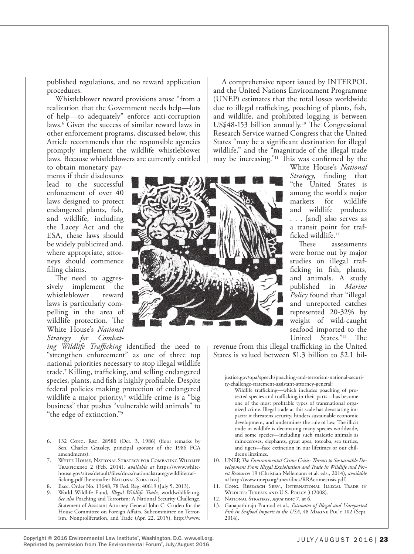published regulations, and no reward application procedures.

Whistleblower reward provisions arose "from a realization that the Government needs help—lots of help—to adequately" enforce anti-corruption laws.6 Given the success of similar reward laws in other enforcement programs, discussed below, this Article recommends that the responsible agencies promptly implement the wildlife whistleblower laws. Because whistleblowers are currently entitled

to obtain monetary payments if their disclosures lead to the successful enforcement of over 40 laws designed to protect endangered plants, fish, and wildlife, including the Lacey Act and the ESA, these laws should be widely publicized and, where appropriate, attorneys should commence filing claims.

The need to aggressively implement the whistleblower reward laws is particularly compelling in the area of wildlife protection. The White House's *National Strategy for Combat-*

*ing Wildlife Trafficking* identified the need to "strengthen enforcement" as one of three top national priorities necessary to stop illegal wildlife trade.7 Killing, trafficking, and selling endangered species, plants, and fish is highly profitable. Despite federal policies making protection of endangered wildlife a major priority,8 wildlife crime is a "big business" that pushes "vulnerable wild animals" to "the edge of extinction."9

- 6. 132 Cong. Rec. 28580 (Oct. 3, 1986) (floor remarks by Sen. Charles Grassley, principal sponsor of the 1986 FCA amendments).
- 7. White House, National Strategy for Combating Wildlife Trafficking 2 (Feb. 2014), *available at* https://www.whitehouse.gov/sites/default/files/docs/nationalstrategywildlifetrafficking.pdf [hereinafter NATIONAL STRATEGY].
- 8. Exec. Order No. 13648, 78 Fed. Reg. 40619 (July 5, 2013).
- 9. World Wildlife Fund, *Illegal Wildlife Trade*, worldwildlife.org. *See also* Poaching and Terrorism: A National Security Challenge, Statement of Assistant Attorney General John C. Cruden for the House Committee on Foreign Affairs, Subcommittee on Terrorism, Nonproliferation, and Trade (Apr. 22, 2015), http://www.

A comprehensive report issued by INTERPOL and the United Nations Environment Programme (UNEP) estimates that the total losses worldwide due to illegal trafficking, poaching of plants, fish, and wildlife, and prohibited logging is between US\$48-153 billion annually.10 The Congressional Research Service warned Congress that the United States "may be a significant destination for illegal wildlife," and the "magnitude of the illegal trade may be increasing."11 This was confirmed by the



White House's *National Strategy*, finding that "the United States is among the world's major markets for wildlife and wildlife products . . . [and] also serves as a transit point for trafficked wildlife.12

These assessments were borne out by major studies on illegal trafficking in fish, plants, and animals. A study published in *Marine Policy* found that "illegal and unreported catches represented 20-32% by weight of wild-caught seafood imported to the United States."13 The

revenue from this illegal trafficking in the United States is valued between \$1.3 billion to \$2.1 bil-

justice.gov/opa/speech/poaching-and-terrorism-national-security-challenge-statement-assistant-attorney-general:

- Wildlife trafficking—which includes poaching of protected species and trafficking in their parts—has become one of the most profitable types of transnational organized crime. Illegal trade at this scale has devastating impacts: it threatens security, hinders sustainable economic development, and undermines the rule of law. The illicit trade in wildlife is decimating many species worldwide, and some species—including such majestic animals as rhinoceroses, elephants, great apes, totoaba, sea turtles, and tigers—face extinction in our lifetimes or our children's lifetimes.
- 10. UNEP, *The Environmental Crime Crisis: Threats to Sustainable Development From Illegal Exploitation and Trade in Wildlife and Forest Resources* 19 (Christian Nellemann et al. eds., 2014), *available at* http://www.unep.org/unea/docs/RRAcrimecrisis.pdf.
- 11. Cong. Research Serv., International Illegal Trade in Wildlife: Threats and U.S. Policy 3 (2008).
- 12. National Strategy, *supra* note 7, at 6.
- 13. Ganapathiraju Pramod et al., *Estimates of Illegal and Unreported*  Fish in Seafood Imports to the USA, 48 MARINE POL'Y 102 (Sept. 2014).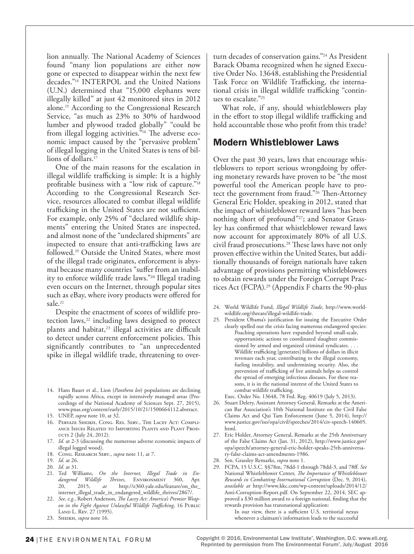lion annually. The National Academy of Sciences found "many lion populations are either now gone or expected to disappear within the next few decades."14 INTERPOL and the United Nations (U.N.) determined that "15,000 elephants were illegally killed" at just 42 monitored sites in 2012 alone.15 According to the Congressional Research Service, "as much as 23% to 30% of hardwood lumber and plywood traded globally" "could be from illegal logging activities.<sup>"16</sup> The adverse economic impact caused by the "pervasive problem" of illegal logging in the United States is tens of billions of dollars.<sup>17</sup>

One of the main reasons for the escalation in illegal wildlife trafficking is simple: It is a highly profitable business with a "low risk of capture."18 According to the Congressional Research Service, resources allocated to combat illegal wildlife trafficking in the United States are not sufficient. For example, only 25% of "declared wildlife shipments" entering the United States are inspected, and almost none of the "undeclared shipments" are inspected to ensure that anti-trafficking laws are followed.19 Outside the United States, where most of the illegal trade originates, enforcement is abysmal because many countries "suffer from an inability to enforce wildlife trade laws."20 Illegal trading even occurs on the Internet, through popular sites such as eBay, where ivory products were offered for sale.<sup>21</sup>

Despite the enactment of scores of wildlife protection laws,<sup>22</sup> including laws designed to protect plants and habitat,<sup>23</sup> illegal activities are difficult to detect under current enforcement policies. This significantly contributes to "an unprecedented spike in illegal wildlife trade, threatening to over-

- 14. Hans Bauer et al., Lion (*Panthera leo*) populations are declining rapidly across Africa, except in intensively managed areas (Proceedings of the National Academy of Sciences Sept. 27, 2015), www.pnas.org/content/early/2015/10/21/1500664112.abstract.
- 15. UNEP, *supra* note 10, at 32.
- 16. Pervaze Sheikh, Cong. Res. Serv., The Lacey Act: Compliance Issues Related to Importing Plants and Plant Products 2 (July 24, 2012).
- 17. *Id.* at 2-3 (discussing the numerous adverse economic impacts of illegal logged wood).
- 18. Cong. Research Serv., *supra* note 11, at 7.
- 19. *Id.* at 26.
- 20. *Id.* at 31.
- 21. Ted Williams, *On the Internet, Illegal Trade in Endangered Wildlife Thrives*, ENVIRONMENT 360, Apr.<br>20, 2015, at http://e360.yale.edu/feature/on\_the\_ 20, 2015, *at* http://e360.yale.edu/feature/on\_the\_ internet\_illegal\_trade\_in\_endangered\_wildlife\_thrives/2867/.
- 22. *See, e.g.*, Robert Anderson, *The Lacey Act: America's Premier Weapon in the Fight Against Unlawful Wildlife Trafficking*, 16 Public Land L. Rev. 27 (1995).
- 23. Sheikh, *supra* note 16.

turn decades of conservation gains."24 As President Barack Obama recognized when he signed Executive Order No. 13648, establishing the Presidential Task Force on Wildlife Trafficking, the international crisis in illegal wildlife trafficking "continues to escalate."25

What role, if any, should whistleblowers play in the effort to stop illegal wildlife trafficking and hold accountable those who profit from this trade?

# Modern Whistleblower Laws

Over the past 30 years, laws that encourage whistleblowers to report serious wrongdoing by offering monetary rewards have proven to be "the most powerful tool the American people have to protect the government from fraud."26 Then-Attorney General Eric Holder, speaking in 2012, stated that the impact of whistleblower reward laws "has been nothing short of profound"<sup>27</sup>; and Senator Grassley has confirmed that whistleblower reward laws now account for approximately 80% of all U.S. civil fraud prosecutions.28 These laws have not only proven effective within the United States, but additionally thousands of foreign nationals have taken advantage of provisions permitting whistleblowers to obtain rewards under the Foreign Corrupt Practices Act (FCPA).29 (Appendix F charts the 90-plus

- 24. World Wildlife Fund, *Illegal Wildlife Trade*, http://www.worldwildlife.org/threats/illegal-wildlife-trade.
- 25. President Obama's justification for issuing the Executive Order clearly spelled out the crisis facing numerous endangered species: Poaching operations have expanded beyond small-scale, opportunistic actions to coordinated slaughter commissioned by armed and organized criminal syndicates. . . . Wildlife trafficking [generates] billions of dollars in illicit revenues each year, contributing to the illegal economy, fueling instability, and undermining security. Also, the prevention of trafficking of live animals helps us control the spread of emerging infectious diseases. For these reasons, it is in the national interest of the United States to combat wildlife trafficking.

Exec. Order No. 13648, 78 Fed. Reg. 40619 (July 5, 2013).

- 26. Stuart Delery, Assistant Attorney General, Remarks at the American Bar Association's 10th National Institute on the Civil False Claims Act and Qui Tam Enforcement (June 5, 2014), http:// www.justice.gov/iso/opa/civil/speeches/2014/civ-speech-140605. html.
- 27. Eric Holder, Attorney General, Remarks at the 25th Anniversary of the False Claims Act (Jan. 31, 2012), http://www.justice.gov/ opa/speech/attorney-general-eric-holder-speaks-25th-anniversary-false-claims-act-amendments-1986.
- 28. Sen. Grassley Remarks, *supra* note 1.
- 29. FCPA, 15 U.S.C. §§78m, 78dd-1 through 78dd-3, and 78ff. *See* National Whistleblower Center, *The Importance of Whistleblower Rewards in Combatting International Corruption* (Dec. 9, 2014), *available at* http://www.kkc.com/wp-content/uploads/2014/12/ Anti-Corruption-Report.pdf. On September 22, 2014, SEC approved a \$30 million award to a foreign national, finding that the rewards provision has transnational application:

In our view, there is a sufficient U.S. territorial nexus whenever a claimant's information leads to the successful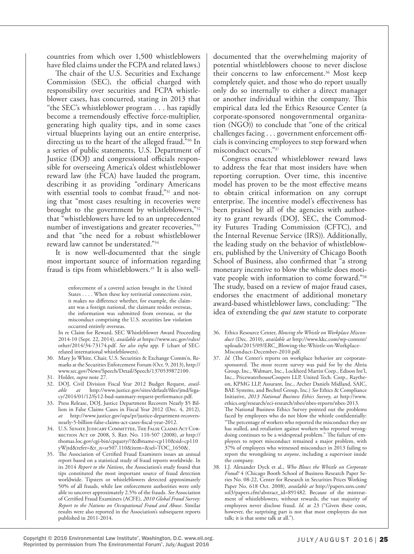countries from which over 1,500 whistleblowers have filed claims under the FCPA and related laws.)

The chair of the U.S. Securities and Exchange Commission (SEC), the official charged with responsibility over securities and FCPA whistleblower cases, has concurred, stating in 2013 that "the SEC's whistleblower program . . . has rapidly become a tremendously effective force-multiplier, generating high quality tips, and in some cases virtual blueprints laying out an entire enterprise, directing us to the heart of the alleged fraud."30 In a series of public statements, U.S. Department of Justice (DOJ) and congressional officials responsible for overseeing America's oldest whistleblower reward law (the FCA) have lauded the program, describing it as providing "ordinary Americans with essential tools to combat fraud,"<sup>31</sup> and noting that "most cases resulting in recoveries were brought to the government by whistleblowers,"32 that "whistleblowers have led to an unprecedented number of investigations and greater recoveries,"<sup>33</sup> and that "the need for a robust whistleblower reward law cannot be understated."34

It is now well-documented that the single most important source of information regarding fraud is tips from whistleblowers.<sup>35</sup> It is also well-

> enforcement of a covered action brought in the United States . . . . When these key territorial connections exist, it makes no difference whether, for example, the claimant was a foreign national, the claimant resides overseas, the information was submitted from overseas, or the misconduct comprising the U.S. securities law violation occurred entirely overseas.

- In re Claim for Reward, SEC Whistleblower Award Proceeding 2014-10 (Sept. 22, 2014), *available at* https://www.sec.gov/rules/ other/2014/34-73174.pdf. *See also infra* app. F (chart of SECrelated international whistleblowers).
- 30. Mary Jo White, Chair, U.S. Securities & Exchange Comm'n, Remarks at the Securities Enforcement Forum (Oct. 9, 2013), http:// www.sec.gov/News/Speech/Detail/Speech/1370539872100.
- 31. Holder, *supra* note 27.
- 32. DOJ, Civil Division Fiscal Year 2012 Budget Request, *available at* http://www.justice.gov/sites/default/files/jmd/legacy/2014/01/12/fy12-bud-summary-request-performance.pdf.
- 33. Press Release, DOJ, Justice Department Recovers Nearly \$5 Billion in False Claims Cases in Fiscal Year 2012 (Dec. 4, 2012), *at* http://www.justice.gov/opa/pr/justice-department-recoversnearly-5-billion-false-claims-act-cases-fiscal-year-2012.
- 34. U.S. Senate Judicary Committee, The False Claims Act Correction Act of 2008, S. Rep. No. 110-507 (2008), *at* http:// thomas.loc.gov/cgi-bin/cpquery/?&dbname=cp110&sid=cp110 yWjtd&refer=&r\_n=sr507.110&item=&sel=TOC\_1650&.
- 35. The Association of Certified Fraud Examiners issues an annual report based on a statistical study of fraud reports worldwide. In its 2014 *Report to the Nations*, the Association's study found that tips constituted the most important source of fraud detection worldwide. Tipsters or whistleblowers detected approximately 50% of all frauds, while law enforcement authorities were only able to uncover approximately 2.5% of the frauds. *See* Association of Certified Fraud Examiners (ACFE), *2010 Global Fraud Survey: Report to the Nations on Occupational Fraud and Abuse*. Similar results were also reported in the Association's subsequent reports published in 2011-2014.

documented that the overwhelming majority of potential whistleblowers choose to never disclose their concerns to law enforcement.<sup>36</sup> Most keep completely quiet, and those who do report usually only do so internally to either a direct manager or another individual within the company. This empirical data led the Ethics Resource Center (a corporate-sponsored nongovernmental organization (NGO)) to conclude that "one of the critical challenges facing . . . government enforcement officials is convincing employees to step forward when misconduct occurs."37

Congress enacted whistleblower reward laws to address the fear that most insiders have when reporting corruption. Over time, this incentive model has proven to be the most effective means to obtain critical information on any corrupt enterprise. The incentive model's effectiveness has been praised by all of the agencies with authority to grant rewards (DOJ, SEC, the Commodity Futures Trading Commission (CFTC), and the Internal Revenue Service (IRS)). Additionally, the leading study on the behavior of whistleblowers, published by the University of Chicago Booth School of Business, also confirmed that "a strong monetary incentive to blow the whistle does motivate people with information to come forward."38 The study, based on a review of major fraud cases, endorses the enactment of additional monetary award-based whistleblower laws, concluding: "The idea of extending the *qui tam* statute to corporate

- 36. Ethics Resource Center, *Blowing the Whistle on Workplace Misconduct* (Dec. 2010), *available at* http://www.kkc.com/wp-content/ uploads/2015/09/ERC\_Blowing-the-Whistle-on-Workplace-Misconduct-December-2010.pdf.
- 37. *Id.* (The Center's reports on workplace behavior are corporatesponsored. The most recent survey was paid for by the Altria Group, Inc., Walmart, Inc., Lockheed Martin Corp., Edison Int'l, Inc., PricewaterhouseCoopers LLP, United Tech. Corp., Raytheon, KPMG LLP, Assurant, Inc., Archer Daniels Midland, SAIC, BAE Systems, and Bechtel Group, Inc.) *See* Ethics & Compliance Initiative, *2013 National Business Ethics Survey*, *at* http://www. ethics.org/research/eci-research/nbes/nbes-reports/nbes-2013. The National Business Ethics Survey pointed out the problems faced by employees who do not blow the whistle confidentially: "The percentage of workers who reported the misconduct they see has stalled, and retaliation against workers who reported wrongdoing continues to be a widespread problem." The failure of employees to report misconduct remained a major problem, with 37% of employees who witnessed misconduct in 2013 failing to report the wrongdoing to *anyone*, including a supervisor inside the company.
- 38. I.J. Alexander Dyck et al., *Who Blows the Whistle on Corporate Fraud?* 4 (Chicago Booth School of Business Research Paper Series No. 08-22, Center for Research in Securities Prices Working Paper No. 618 Oct. 2008), *available at* http://papers.ssrn.com/ sol3/papers.cfm?abstract\_id=891482. Because of the mistreatment of whistleblowers, without rewards, the vast majority of employees never disclose fraud. *Id*. at 23 ("Given these costs, however, the surprising part is not that most employees do not talk; it is that some talk at all.").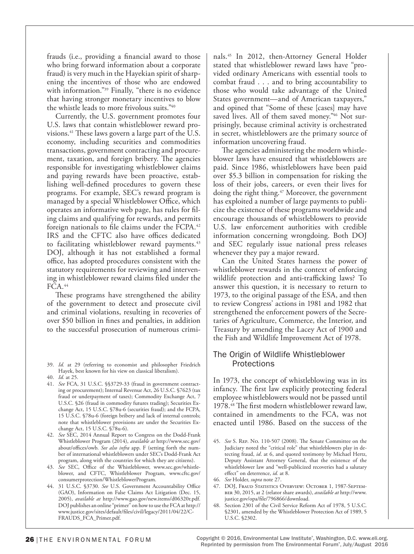frauds (i.e., providing a financial award to those who bring forward information about a corporate fraud) is very much in the Hayekian spirit of sharpening the incentives of those who are endowed with information."39 Finally, "there is no evidence that having stronger monetary incentives to blow the whistle leads to more frivolous suits."40

Currently, the U.S. government promotes four U.S. laws that contain whistleblower reward provisions.41 These laws govern a large part of the U.S. economy, including securities and commodities transactions, government contracting and procurement, taxation, and foreign bribery. The agencies responsible for investigating whistleblower claims and paying rewards have been proactive, establishing well-defined procedures to govern these programs. For example, SEC's reward program is managed by a special Whistleblower Office, which operates an informative web page, has rules for filing claims and qualifying for rewards, and permits foreign nationals to file claims under the FCPA.42 IRS and the CFTC also have offices dedicated to facilitating whistleblower reward payments.<sup>43</sup> DOJ, although it has not established a formal office, has adopted procedures consistent with the statutory requirements for reviewing and intervening in whistleblower reward claims filed under the FCA.<sup>44</sup>

These programs have strengthened the ability of the government to detect and prosecute civil and criminal violations, resulting in recoveries of over \$50 billion in fines and penalties, in addition to the successful prosecution of numerous crimi-

- 40. *Id.* at 25.
- 41. *See* FCA, 31 U.S.C. §§3729-33 (fraud in government contracting or procurement); Internal Revenue Act, 26 U.S.C. §7623 (tax fraud or underpayment of taxes); Commodity Exchange Act, 7 U.S.C. §26 (fraud in commodity futures trading); Securities Exchange Act, 15 U.S.C. §78u-6 (securities fraud); and the FCPA, 15 U.S.C. §78u-6 (foreign bribery and lack of internal controls; note that whistleblower provisions are under the Securities Exchange Act, 15 U.S.C. §78u-6).
- 42. *See* SEC, 2014 Annual Report to Congress on the Dodd-Frank Whistleblower Program (2014), *available at* http://www.sec.gov/ about/offices/owb. *See also infra* app. F (setting forth the number of international whistleblowers under SEC's Dodd-Frank Act program, along with the countries for which they are citizens).
- 43. *See* SEC, Office of the Whistleblower, www.sec.gov/whistleblower, and CFTC, Whistleblower Program, www.cftc.gov/ consumerprotection/WhistleblowerProgram.
- 44. 31 U.S.C. §3730. *See* U.S. Government Accountability Office (GAO), Information on False Claims Act Litigation (Dec. 15, 2005), *available at* http://www.gao.gov/new.items/d06320r.pdf. DOJ publishes an online "primer" on how to use the FCA at http:// www.justice.gov/sites/default/files/civil/legacy/2011/04/22/C-FRAUDS\_FCA\_Primer.pdf.

nals.45 In 2012, then-Attorney General Holder stated that whistleblower reward laws have "provided ordinary Americans with essential tools to combat fraud . . . and to bring accountability to those who would take advantage of the United States government—and of American taxpayers," and opined that "Some of these [cases] may have saved lives. All of them saved money."<sup>46</sup> Not surprisingly, because criminal activity is orchestrated in secret, whistleblowers are the primary source of information uncovering fraud.

The agencies administering the modern whistleblower laws have ensured that whistleblowers are paid. Since 1986, whistleblowers have been paid over \$5.3 billion in compensation for risking the loss of their jobs, careers, or even their lives for doing the right thing.47 Moreover, the government has exploited a number of large payments to publicize the existence of these programs worldwide and encourage thousands of whistleblowers to provide U.S. law enforcement authorities with credible information concerning wrongdoing. Both DOJ and SEC regularly issue national press releases whenever they pay a major reward.

Can the United States harness the power of whistleblower rewards in the context of enforcing wildlife protection and anti-trafficking laws? To answer this question, it is necessary to return to 1973, to the original passage of the ESA, and then to review Congress' actions in 1981 and 1982 that strengthened the enforcement powers of the Secretaries of Agriculture, Commerce, the Interior, and Treasury by amending the Lacey Act of 1900 and the Fish and Wildlife Improvement Act of 1978.

# The Origin of Wildlife Whistleblower **Protections**

In 1973, the concept of whistleblowing was in its infancy. The first law explicitly protecting federal employee whistleblowers would not be passed until 1978.48 The first modern whistleblower reward law, contained in amendments to the FCA, was not enacted until 1986. Based on the success of the

- 47. DOJ, FRAUD STATISTICS OVERVIEW: OCTOBER 1, 1987-SEPTEMber 30, 2015, at 2 (relator share awards), *available at* http://www. justice.gov/opa/file/796866/download*.*
- 48. Section 2301 of the Civil Service Reform Act of 1978, 5 U.S.C. §2301, amended by the Whistleblower Protection Act of 1989, 5 U.S.C. §2302.

<sup>39.</sup> *Id.* at 29 (referring to economist and philosopher Friedrich Hayek, best known for his view on classical liberalism).

<sup>45.</sup> *See* S. Rep. No. 110-507 (2008). The Senate Committee on the Judiciary noted the "critical role" that whistleblowers play in detecting fraud, *id*. at 6, and quoted testimony by Michael Hertz, Deputy Assistant Attorney General, that the existence of the whistleblower law and "well-publicized recoveries had a salutary effect" on deterrence, *id.* at 8.

<sup>46.</sup> *See* Holder, *supra* note 27.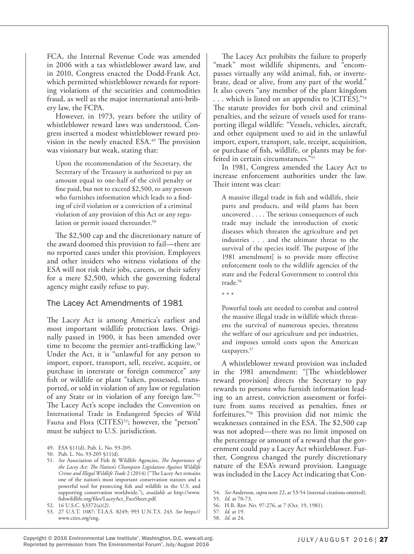FCA, the Internal Revenue Code was amended in 2006 with a tax whistleblower award law, and in 2010, Congress enacted the Dodd-Frank Act, which permitted whistleblower rewards for reporting violations of the securities and commodities fraud, as well as the major international anti-bribery law, the FCPA.

However, in 1973, years before the utility of whistleblower reward laws was understood, Congress inserted a modest whistleblower reward provision in the newly enacted ESA.<sup>49</sup> The provision was visionary but weak, stating that:

Upon the recommendation of the Secretary, the Secretary of the Treasury is authorized to pay an amount equal to one-half of the civil penalty or fine paid, but not to exceed \$2,500, to any person who furnishes information which leads to a finding of civil violation or a conviction of a criminal violation of any provision of this Act or any regulation or permit issued thereunder.<sup>50</sup>

The \$2,500 cap and the discretionary nature of the award doomed this provision to fail—there are no reported cases under this provision. Employees and other insiders who witness violations of the ESA will not risk their jobs, careers, or their safety for a mere \$2,500, which the governing federal agency might easily refuse to pay.

# The Lacey Act Amendments of 1981

The Lacey Act is among America's earliest and most important wildlife protection laws. Originally passed in 1900, it has been amended over time to become the premier anti-trafficking law.<sup>51</sup> Under the Act, it is "unlawful for any person to import, export, transport, sell, receive, acquire, or purchase in interstate or foreign commerce" any fish or wildlife or plant "taken, possessed, transported, or sold in violation of any law or regulation of any State or in violation of any foreign law."52 The Lacey Act's scope includes the Convention on International Trade in Endangered Species of Wild Fauna and Flora (CITES)<sup>53</sup>; however, the "person" must be subject to U.S. jurisdiction.

- 49. ESA §11(d), Pub. L. No. 93-205.
- 50. Pub. L. No. 93-205 §11(d).
- 51. *See* Association of Fish & Wildlife Agencies, *The Importance of the Lacey Act: The Nation's Champion Legislation Against Wildlife Crime and Illegal Wildlife Trade* 2 (2014) ("The Lacey Act remains one of the nation's most important conservation statutes and a powerful tool for protecting fish and wildlife in the U.S. and supporting conservation worldwide."), *available at* http://www. fishwildlife.org/files/LaceyAct\_FactSheet.pdf.

53. 27 U.S.T. 1087; T.I.A.S. 8249; 993 U.N.T.S. 243. *See* https:// www.cites.org/eng.

The Lacey Act prohibits the failure to properly "mark" most wildlife shipments, and "encompasses virtually any wild animal, fish, or invertebrate, dead or alive, from any part of the world." It also covers "any member of the plant kingdom . . . which is listed on an appendix to [CITES]."54 The statute provides for both civil and criminal penalties, and the seizure of vessels used for transporting illegal wildlife: "Vessels, vehicles, aircraft, and other equipment used to aid in the unlawful import, export, transport, sale, receipt, acquisition, or purchase of fish, wildlife, or plants may be forfeited in certain circumstances."55

In 1981, Congress amended the Lacey Act to increase enforcement authorities under the law. Their intent was clear:

A massive illegal trade in fish and wildlife, their parts and products, and wild plants has been uncovered . . . . The serious consequences of such trade may include the introduction of exotic diseases which threaten the agriculture and pet industries . . . and the ultimate threat to the survival of the species itself. The purpose of [the 1981 amendment] is to provide more effective enforcement tools to the wildlife agencies of the state and the Federal Government to control this trade.<sup>56</sup>

\* \* \*

Powerful tools are needed to combat and control the massive illegal trade in wildlife which threatens the survival of numerous species, threatens the welfare of our agriculture and pet industries, and imposes untold costs upon the American taxpayers.<sup>57</sup>

A whistleblower reward provision was included in the 1981 amendment: "[The whistleblower reward provision] directs the Secretary to pay rewards to persons who furnish information leading to an arrest, conviction assessment or forfeiture from sums received as penalties, fines or forfeitures."58 This provision did not mimic the weaknesses contained in the ESA. The \$2,500 cap was not adopted—there was no limit imposed on the percentage or amount of a reward that the government could pay a Lacey Act whistleblower. Further, Congress changed the purely discretionary nature of the ESA's reward provision. Language was included in the Lacey Act indicating that Con-

<sup>52.</sup> 16 U.S.C. §3372(a)(2).

<sup>54.</sup> *See* Anderson, *supra* note 22, at 53-54 (internal citations omitted).

<sup>55.</sup> *Id.* at 70-73.

<sup>56.</sup> H.R. Rep. No. 97-276, at 7 (Oct. 19, 1981).

<sup>57.</sup> *Id.* at 19. 58. *Id.* at 24.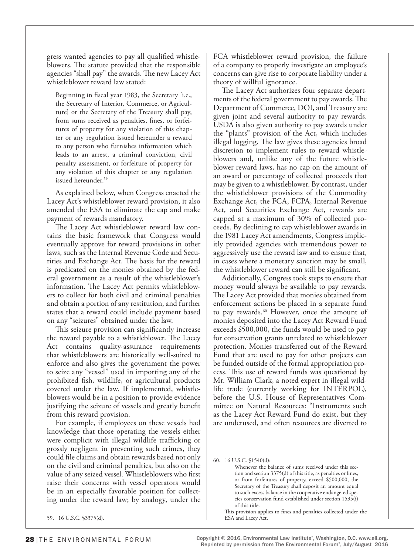gress wanted agencies to pay all qualified whistleblowers. The statute provided that the responsible agencies "shall pay" the awards. The new Lacey Act whistleblower reward law stated:

Beginning in fiscal year 1983, the Secretary [i.e., the Secretary of Interior, Commerce, or Agriculture] or the Secretary of the Treasury shall pay, from sums received as penalties, fines, or forfeitures of property for any violation of this chapter or any regulation issued hereunder a reward to any person who furnishes information which leads to an arrest, a criminal conviction, civil penalty assessment, or forfeiture of property for any violation of this chapter or any regulation issued hereunder.<sup>59</sup>

As explained below, when Congress enacted the Lacey Act's whistleblower reward provision, it also amended the ESA to eliminate the cap and make payment of rewards mandatory.

The Lacey Act whistleblower reward law contains the basic framework that Congress would eventually approve for reward provisions in other laws, such as the Internal Revenue Code and Securities and Exchange Act. The basis for the reward is predicated on the monies obtained by the federal government as a result of the whistleblower's information. The Lacey Act permits whistleblowers to collect for both civil and criminal penalties and obtain a portion of any restitution, and further states that a reward could include payment based on any "seizures" obtained under the law.

This seizure provision can significantly increase the reward payable to a whistleblower. The Lacey Act contains quality-assurance requirements that whistleblowers are historically well-suited to enforce and also gives the government the power to seize any "vessel" used in importing any of the prohibited fish, wildlife, or agricultural products covered under the law. If implemented, whistleblowers would be in a position to provide evidence justifying the seizure of vessels and greatly benefit from this reward provision.

For example, if employees on these vessels had knowledge that those operating the vessels either were complicit with illegal wildlife trafficking or grossly negligent in preventing such crimes, they could file claims and obtain rewards based not only on the civil and criminal penalties, but also on the value of any seized vessel. Whistleblowers who first raise their concerns with vessel operators would be in an especially favorable position for collecting under the reward law; by analogy, under the

59. 16 U.S.C. §3375(d).

FCA whistleblower reward provision, the failure of a company to properly investigate an employee's concerns can give rise to corporate liability under a theory of willful ignorance.

The Lacey Act authorizes four separate departments of the federal government to pay awards. The Department of Commerce, DOI, and Treasury are given joint and several authority to pay rewards. USDA is also given authority to pay awards under the "plants" provision of the Act, which includes illegal logging. The law gives these agencies broad discretion to implement rules to reward whistleblowers and, unlike any of the future whistleblower reward laws, has no cap on the amount of an award or percentage of collected proceeds that may be given to a whistleblower. By contrast, under the whistleblower provisions of the Commodity Exchange Act, the FCA, FCPA, Internal Revenue Act, and Securities Exchange Act, rewards are capped at a maximum of 30% of collected proceeds. By declining to cap whistleblower awards in the 1981 Lacey Act amendments, Congress implicitly provided agencies with tremendous power to aggressively use the reward law and to ensure that, in cases where a monetary sanction may be small, the whistleblower reward can still be significant.

Additionally, Congress took steps to ensure that money would always be available to pay rewards. The Lacey Act provided that monies obtained from enforcement actions be placed in a separate fund to pay rewards.<sup>60</sup> However, once the amount of monies deposited into the Lacey Act Reward Fund exceeds \$500,000, the funds would be used to pay for conservation grants unrelated to whistleblower protection. Monies transferred out of the Reward Fund that are used to pay for other projects can be funded outside of the formal appropriation process. This use of reward funds was questioned by Mr. William Clark, a noted expert in illegal wildlife trade (currently working for INTERPOL), before the U.S. House of Representatives Committee on Natural Resources: "Instruments such as the Lacey Act Reward Fund do exist, but they are underused, and often resources are diverted to

60. 16 U.S.C. §1540(d):

Whenever the balance of sums received under this section and section 3375(d) of this title, as penalties or fines, or from forfeitures of property, exceed \$500,000, the Secretary of the Treasury shall deposit an amount equal to such excess balance in the cooperative endangered species conservation fund established under section 1535(i) of this title.

This provision applies to fines and penalties collected under the ESA and Lacey Act.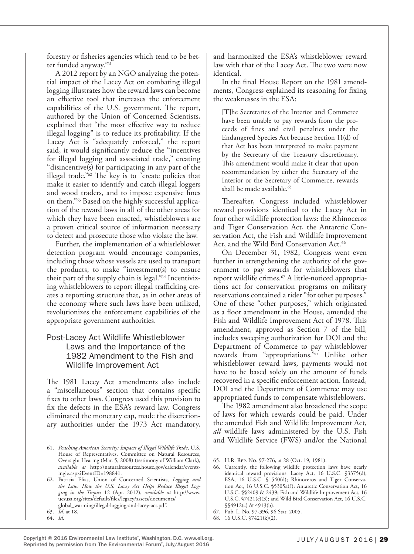forestry or fisheries agencies which tend to be better funded anyway."61

A 2012 report by an NGO analyzing the potential impact of the Lacey Act on combating illegal logging illustrates how the reward laws can become an effective tool that increases the enforcement capabilities of the U.S. government. The report, authored by the Union of Concerned Scientists, explained that "the most effective way to reduce illegal logging" is to reduce its profitability. If the Lacey Act is "adequately enforced," the report said, it would significantly reduce the "incentives for illegal logging and associated trade," creating "disincentive(s) for participating in any part of the illegal trade."62 The key is to "create policies that make it easier to identify and catch illegal loggers and wood traders, and to impose expensive fines on them."63 Based on the highly successful application of the reward laws in all of the other areas for which they have been enacted, whistleblowers are a proven critical source of information necessary to detect and prosecute those who violate the law.

Further, the implementation of a whistleblower detection program would encourage companies, including those whose vessels are used to transport the products, to make "investment(s) to ensure their part of the supply chain is legal."64 Incentivizing whistleblowers to report illegal trafficking creates a reporting structure that, as in other areas of the economy where such laws have been utilized, revolutionizes the enforcement capabilities of the appropriate government authorities.

# Post-Lacey Act Wildlife Whistleblower Laws and the Importance of the 1982 Amendment to the Fish and Wildlife Improvement Act

The 1981 Lacey Act amendments also include a "miscellaneous" section that contains specific fixes to other laws. Congress used this provision to fix the defects in the ESA's reward law. Congress eliminated the monetary cap, made the discretionary authorities under the 1973 Act mandatory,

62. Patricia Elias, Union of Concerned Scientists, *Logging and the Law: How the U.S. Lacey Act Helps Reduce Illegal Logging in the Tropics* 12 (Apr. 2012), *available at* http://www. ucsusa.org/sites/default/files/legacy/assets/documents/ global\_warming/illegal-logging-and-lacey-act.pdf.

and harmonized the ESA's whistleblower reward law with that of the Lacey Act. The two were now identical.

In the final House Report on the 1981 amendments, Congress explained its reasoning for fixing the weaknesses in the ESA:

[T]he Secretaries of the Interior and Commerce have been unable to pay rewards from the proceeds of fines and civil penalties under the Endangered Species Act because Section 11(d) of that Act has been interpreted to make payment by the Secretary of the Treasury discretionary. This amendment would make it clear that upon recommendation by either the Secretary of the Interior or the Secretary of Commerce, rewards shall be made available.<sup>65</sup>

Thereafter, Congress included whistleblower reward provisions identical to the Lacey Act in four other wildlife protection laws: the Rhinoceros and Tiger Conservation Act, the Antarctic Conservation Act, the Fish and Wildlife Improvement Act, and the Wild Bird Conservation Act.<sup>66</sup>

On December 31, 1982, Congress went even further in strengthening the authority of the government to pay awards for whistleblowers that report wildlife crimes.67 A little-noticed appropriations act for conservation programs on military reservations contained a rider "for other purposes." One of these "other purposes," which originated as a floor amendment in the House, amended the Fish and Wildlife Improvement Act of 1978. This amendment, approved as Section 7 of the bill, includes sweeping authorization for DOI and the Department of Commerce to pay whistleblower rewards from "appropriations."68 Unlike other whistleblower reward laws, payments would not have to be based solely on the amount of funds recovered in a specific enforcement action. Instead, DOI and the Department of Commerce may use appropriated funds to compensate whistleblowers.

The 1982 amendment also broadened the scope of laws for which rewards could be paid. Under the amended Fish and Wildlife Improvement Act, *all* wildlife laws administered by the U.S. Fish and Wildlife Service (FWS) and/or the National

<sup>61.</sup> *Poaching American Security: Impacts of Illegal Wildlife Trade*, U.S. House of Representatives, Committee on Natural Resources, Oversight Hearing (Mar. 5, 2008) (testimony of William Clark), *available at* http://naturalresources.house.gov/calendar/eventsingle.aspx?EventID=198841.

<sup>63.</sup> *Id.* at 18. 64. *Id.*

<sup>65.</sup> H.R. Rep. No. 97-276, at 28 (Oct. 19, 1981).

<sup>66.</sup> Currently, the following wildlife protection laws have nearly identical reward provisions: Lacey Act, 16 U.S.C. §3375(d); ESA, 16 U.S.C. §1540(d); Rhinoceros and Tiger Conservation Act, 16 U.S.C. §5305a(f); Antarctic Conservation Act, 16 U.S.C. §§2409 & 2439; Fish and Wildlife Improvement Act, 16 U.S.C. §7421(c)(3); and Wild Bird Conservation Act, 16 U.S.C. §§4912(c) & 4913(b).

<sup>67.</sup> Pub. L. No. 97-396, 96 Stat. 2005.

<sup>68.</sup> 16 U.S.C. §7421(k)(2).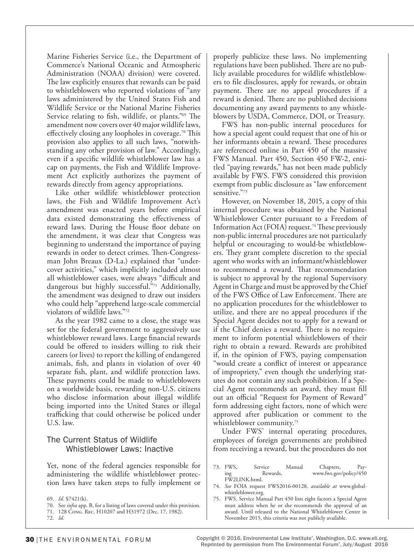Marine Fisheries Service (i.e., the Department of Commerce's National Oceanic and Atmospheric Administration (NOAA) division) were covered. The law explicitly ensures that rewards can be paid to whistleblowers who reported violations of "any laws administered by the United States Fish and Wildlife Service or the National Marine Fisheries Service relating to fish, wildlife, or plants."69 The amendment now covers over 40 major wildlife laws, effectively closing any loopholes in coverage.<sup>70</sup> This provision also applies to all such laws, "notwithstanding any other provision of law." Accordingly, even if a specific wildlife whistleblower law has a cap on payments, the Fish and Wildlife Improvement Act explicitly authorizes the payment of rewards directly from agency appropriations.

Like other wildlife whistleblower protection laws, the Fish and Wildlife Improvement Act's amendment was enacted years before empirical data existed demonstrating the effectiveness of reward laws. During the House floor debate on the amendment, it was clear that Congress was beginning to understand the importance of paying rewards in order to detect crimes. Then-Congressman John Breaux (D-La.) explained that "undercover activities," which implicitly included almost all whistleblower cases, were always "difficult and dangerous but highly successful."71 Additionally, the amendment was designed to draw out insiders who could help "apprehend large-scale commercial violators of wildlife laws."72

As the year 1982 came to a close, the stage was set for the federal government to aggressively use whistleblower reward laws. Large financial rewards could be offered to insiders willing to risk their careers (or lives) to report the killing of endangered animals, fish, and plants in violation of over 40 separate fish, plant, and wildlife protection laws. These payments could be made to whistleblowers on a worldwide basis, rewarding non-U.S. citizens who disclose information about illegal wildlife being imported into the United States or illegal trafficking that could otherwise be policed under U.S. law.

# The Current Status of Wildlife Whistleblower Laws: Inactive

Yet, none of the federal agencies responsible for administering the wildlife whistleblower protection laws have taken steps to fully implement or

71. 128 Cong. Rec. H10207 and H31972 (Dec. 17, 1982).

72. *Id.*

properly publicize these laws. No implementing regulations have been published. There are no publicly available procedures for wildlife whistleblowers to file disclosures, apply for rewards, or obtain payment. There are no appeal procedures if a reward is denied. There are no published decisions documenting any award payments to any whistleblowers by USDA, Commerce, DOI, or Treasury.

FWS has non-public internal procedures for how a special agent could request that one of his or her informants obtain a reward. These procedures are referenced online in Part 450 of the massive FWS Manual. Part 450, Section 450 FW-2, entitled "paying rewards," has not been made publicly available by FWS. FWS considered this provision exempt from public disclosure as "law enforcement sensitive."73

However, on November 18, 2015, a copy of this internal procedure was obtained by the National Whistleblower Center pursuant to a Freedom of Information Act (FOIA) request.<sup>74</sup> These previously non-public internal procedures are not particularly helpful or encouraging to would-be whistleblowers. They grant complete discretion to the special agent who works with an informant/whistleblower to recommend a reward. That recommendation is subject to approval by the regional Supervisory Agent in Charge and must be approved by the Chief of the FWS Office of Law Enforcement. There are no application procedures for the whistleblower to utilize, and there are no appeal procedures if the Special Agent decides not to apply for a reward or if the Chief denies a reward. There is no requirement to inform potential whistleblowers of their right to obtain a reward. Rewards are prohibited if, in the opinion of FWS, paying compensation "would create a conflict of interest or appearance of impropriety," even though the underlying statutes do not contain any such prohibition. If a Special Agent recommends an award, they must fill out an official "Request for Payment of Reward" form addressing eight factors, none of which were approved after publication or comment to the whistleblower community.<sup>75</sup>

Under FWS' internal operating procedures, employees of foreign governments are prohibited from receiving a reward, but the procedures do not

- 73. FWS, Service Manual Chapters, Pay-Rewards, www.fws.gov/policy/450 FW2LINK.html.
- 74. *See* FOIA request FWS2016-00128, *available at* www.globalwhistleblower.org.
- 75. FWS, Service Manual Part 450 lists eight factors a Special Agent must address when he or she recommends the approval of an award. Until released to the National Whistleblower Center in November 2015, this criteria was not publicly available.

<sup>69.</sup> *Id*. §7421(k).

<sup>70.</sup> See *infra* app. B, for a listing of laws covered under this provision.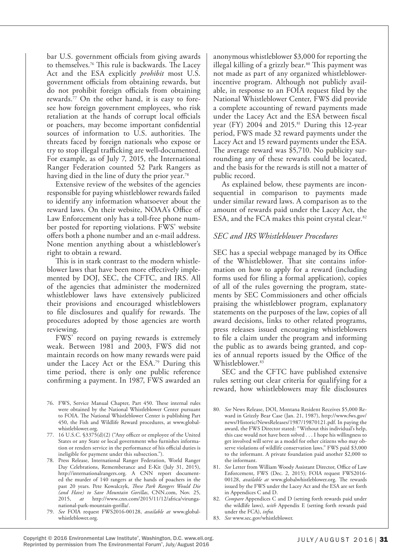bar U.S. government officials from giving awards to themselves.76 This rule is backwards. The Lacey Act and the ESA explicitly *prohibit* most U.S. government officials from obtaining rewards, but do not prohibit foreign officials from obtaining rewards.77 On the other hand, it is easy to foresee how foreign government employees, who risk retaliation at the hands of corrupt local officials or poachers, may become important confidential sources of information to U.S. authorities. The threats faced by foreign nationals who expose or try to stop illegal trafficking are well-documented. For example, as of July 7, 2015, the International Ranger Federation counted 52 Park Rangers as having died in the line of duty the prior year.<sup>78</sup>

Extensive review of the websites of the agencies responsible for paying whistleblower rewards failed to identify any information whatsoever about the reward laws. On their website, NOAA's Office of Law Enforcement only has a toll-free phone number posted for reporting violations. FWS' website offers both a phone number and an e-mail address. None mention anything about a whistleblower's right to obtain a reward.

This is in stark contrast to the modern whistleblower laws that have been more effectively implemented by DOJ, SEC, the CFTC, and IRS. All of the agencies that administer the modernized whistleblower laws have extensively publicized their provisions and encouraged whistleblowers to file disclosures and qualify for rewards. The procedures adopted by those agencies are worth reviewing.

FWS' record on paying rewards is extremely weak. Between 1981 and 2003, FWS did not maintain records on how many rewards were paid under the Lacey Act or the ESA.79 During this time period, there is only one public reference confirming a payment. In 1987, FWS awarded an

- 76. FWS, Service Manual Chapter, Part 450. These internal rules were obtained by the National Whistleblower Center pursuant to FOIA. The National Whistleblower Center is publishing Part 450, the Fish and Wildlife Reward procedures, at www.globalwhistleblower.org.
- 77. 16 U.S.C. §3375(d)(2) ("Any officer or employee of the United States or any State or local government who furnishes information or renders service in the performance of his official duties is ineligible for payment under this subsection.").
- 78. Press Release, International Ranger Federation, World Ranger Day Celebrations, Rememberance and E-Kit (July 31, 2015), http://internationalrangers.org. A CNN report documented the murder of 140 rangers at the hands of poachers in the past 20 years. Pete Kowalczyk, *These Park Rangers Would Die (and Have) to Save Mountain Gorillas*, CNN.com, Nov. 25, 2015, *at* http://www.cnn.com/2015/11/12/africa/virunganational-park-mountain-gorilla/.
- 79. *See* FOIA request FWS2016-00128, *available at* www.globalwhistleblower.org.

anonymous whistleblower \$3,000 for reporting the illegal killing of a grizzly bear.<sup>80</sup> This payment was not made as part of any organized whistleblowerincentive program. Although not publicly available, in response to an FOIA request filed by the National Whistleblower Center, FWS did provide a complete accounting of reward payments made under the Lacey Act and the ESA between fiscal year (FY) 2004 and 2015.<sup>81</sup> During this 12-year period, FWS made 32 reward payments under the Lacey Act and 15 reward payments under the ESA. The average reward was \$5,710. No publicity surrounding any of these rewards could be located, and the basis for the rewards is still not a matter of public record.

As explained below, these payments are inconsequential in comparison to payments made under similar reward laws. A comparison as to the amount of rewards paid under the Lacey Act, the ESA, and the FCA makes this point crystal clear.<sup>82</sup>

## *SEC and IRS Whistleblower Procedures*

SEC has a special webpage managed by its Office of the Whistleblower. That site contains information on how to apply for a reward (including forms used for filing a formal application), copies of all of the rules governing the program, statements by SEC Commissioners and other officials praising the whistleblower program, explanatory statements on the purposes of the law, copies of all award decisions, links to other related programs, press releases issued encouraging whistleblowers to file a claim under the program and informing the public as to awards being granted, and copies of annual reports issued by the Office of the Whistleblower.83

SEC and the CFTC have published extensive rules setting out clear criteria for qualifying for a reward, how whistleblowers may file disclosures

83. *See* www.sec.gov/whistleblower.

<sup>80.</sup> *See* News Release, DOI, Montana Resident Receives \$5,000 Reward in Grizzly Bear Case (Jan. 21, 1987), http://www.fws.gov/ news/Historic/NewsReleases/1987/19870121.pdf. In paying the award, the FWS Director stated: "Without this individual's help, this case would not have been solved . . . I hope his willingness to get involved will serve as a model for other citizens who may observe violations of wildlife conservation laws." FWS paid \$3,000 to the informant. A private foundation paid another \$2,000 to the informant.

<sup>81.</sup> *See* Letter from William Woody Assistant Director, Office of Law Enforcement, FWS (Dec. 2, 2015); FOIA request FWS2016- 00128, *available at* www.globalwhistleblower.org. The rewards issued by the FWS under the Lacey Act and the ESA are set forth in Appendices C and D.

<sup>82.</sup> *Compare* Appendices C and D (setting forth rewards paid under the wildlife laws), *with* Appendix E (setting forth rewards paid under the FCA), *infra.*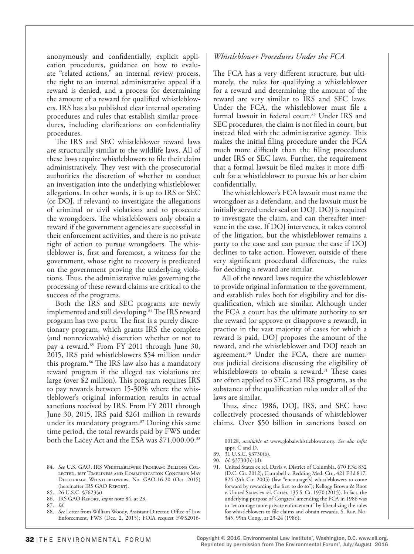anonymously and confidentially, explicit application procedures, guidance on how to evaluate "related actions," an internal review process, the right to an internal administrative appeal if a reward is denied, and a process for determining the amount of a reward for qualified whistleblowers. IRS has also published clear internal operating procedures and rules that establish similar procedures, including clarifications on confidentiality procedures.

The IRS and SEC whistleblower reward laws are structurally similar to the wildlife laws. All of these laws require whistleblowers to file their claim administratively. They vest with the prosecutorial authorities the discretion of whether to conduct an investigation into the underlying whistleblower allegations. In other words, it is up to IRS or SEC (or DOJ, if relevant) to investigate the allegations of criminal or civil violations and to prosecute the wrongdoers. The whistleblowers only obtain a reward if the government agencies are successful in their enforcement activities, and there is no private right of action to pursue wrongdoers. The whistleblower is, first and foremost, a witness for the government, whose right to recovery is predicated on the government proving the underlying violations. Thus, the administrative rules governing the processing of these reward claims are critical to the success of the programs.

Both the IRS and SEC programs are newly implemented and still developing.<sup>84</sup> The IRS reward program has two parts. The first is a purely discretionary program, which grants IRS the complete (and nonreviewable) discretion whether or not to pay a reward.<sup>85</sup> From FY 2011 through June 30, 2015, IRS paid whistleblowers \$54 million under this program.86 The IRS law also has a mandatory reward program if the alleged tax violations are large (over \$2 million). This program requires IRS to pay rewards between 15-30% where the whistleblower's original information results in actual sanctions received by IRS. From FY 2011 through June 30, 2015, IRS paid \$261 million in rewards under its mandatory program.<sup>87</sup> During this same time period, the total rewards paid by FWS under both the Lacey Act and the ESA was \$71,000.00.88

# *Whistleblower Procedures Under the FCA*

The FCA has a very different structure, but ultimately, the rules for qualifying a whistleblower for a reward and determining the amount of the reward are very similar to IRS and SEC laws. Under the FCA, the whistleblower must file a formal lawsuit in federal court.<sup>89</sup> Under IRS and SEC procedures, the claim is not filed in court, but instead filed with the administrative agency. This makes the initial filing procedure under the FCA much more difficult than the filing procedures under IRS or SEC laws. Further, the requirement that a formal lawsuit be filed makes it more difficult for a whistleblower to pursue his or her claim confidentially.

The whistleblower's FCA lawsuit must name the wrongdoer as a defendant, and the lawsuit must be initially served under seal on DOJ. DOJ is required to investigate the claim, and can thereafter intervene in the case. If DOJ intervenes, it takes control of the litigation, but the whistleblower remains a party to the case and can pursue the case if DOJ declines to take action. However, outside of these very significant procedural differences, the rules for deciding a reward are similar.

All of the reward laws require the whistleblower to provide original information to the government, and establish rules both for eligibility and for disqualification, which are similar. Although under the FCA a court has the ultimate authority to set the reward (or approve or disapprove a reward), in practice in the vast majority of cases for which a reward is paid, DOJ proposes the amount of the reward, and the whistleblower and DOJ reach an agreement.<sup>90</sup> Under the FCA, there are numerous judicial decisions discussing the eligibility of whistleblowers to obtain a reward.<sup>91</sup> These cases are often applied to SEC and IRS programs, as the substance of the qualification rules under all of the laws are similar.

Thus, since 1986, DOJ, IRS, and SEC have collectively processed thousands of whistleblower claims. Over \$50 billion in sanctions based on

<sup>84.</sup> *See* U.S. GAO, IRS Whistleblower Program: Billions Collected, but Timeliness and Communication Concerns May Discourage Whistleblowers, No. GAO-16-20 (Oct. 2015) (hereinafter IRS GAO Report).

<sup>85.</sup> 26 U.S.C. §7623(a). 86. IRS GAO Report, *supra* note 84, at 23.

<sup>87.</sup> *Id.*

<sup>88.</sup> *See* Letter from William Woody, Assistant Director, Office of Law Enforcement, FWS (Dec. 2, 2015); FOIA request FWS2016-

<sup>00128,</sup> *available at* www.globalwhistleblower.org. *See also infra* apps. C and D.

<sup>89.</sup> 31 U.S.C. §3730(b).

<sup>90.</sup> *Id.* §3730(b)-(d).

<sup>91.</sup> United States ex rel. Davis v. District of Columbia, 670 F.3d 832 (D.C. Cir. 2012); Campbell v. Redding Med. Ctr., 421 F.3d 817, 824 (9th Cir. 2005) (law "encourage[s] whistleblowers to come forward by rewarding the first to do so"); Kellogg Brown & Root v. United States ex rel. Carter, 135 S. Ct. 1970 (2015). In fact, the underlying purpose of Congress' amending the FCA in 1986 was to "encourage more private enforcement" by liberalizing the rules for whistleblowers to file claims and obtain rewards. S. Rep. No. 345, 99th Cong., at 23-24 (1986).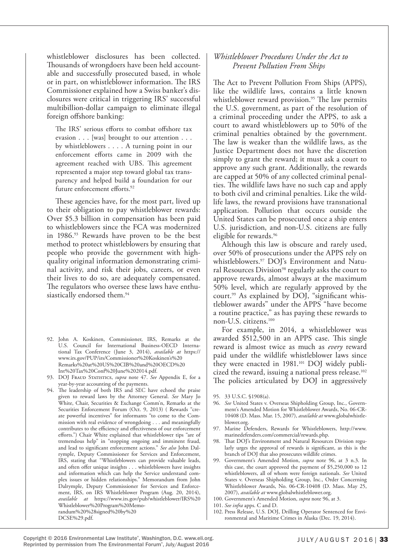whistleblower disclosures has been collected. Thousands of wrongdoers have been held accountable and successfully prosecuted based, in whole or in part, on whistleblower information. The IRS Commissioner explained how a Swiss banker's disclosures were critical in triggering IRS' successful multibillion-dollar campaign to eliminate illegal foreign offshore banking:

The IRS' serious efforts to combat offshore tax evasion . . . [was] brought to our attention . . . by whistleblowers . . . . A turning point in our enforcement efforts came in 2009 with the agreement reached with UBS. This agreement represented a major step toward global tax transparency and helped build a foundation for our future enforcement efforts.<sup>92</sup>

These agencies have, for the most part, lived up to their obligation to pay whistleblower rewards: Over \$5.3 billion in compensation has been paid to whistleblowers since the FCA was modernized in 1986.93 Rewards have proven to be the best method to protect whistleblowers by ensuring that people who provide the government with highquality original information demonstrating criminal activity, and risk their jobs, careers, or even their lives to do so, are adequately compensated. The regulators who oversee these laws have enthusiastically endorsed them.<sup>94</sup>

- 92. John A. Koskinen, Commissioner, IRS, Remarks at the U.S. Council for International Business-OECD International Tax Conference (June 3, 2014), *available at* https:// www.irs.gov/PUP/irs/Commissioner%20Koskinen's%20 Remarks%20at%20US%20CIB%20and%20OECD%20 Int%20Tax%20Conf%20June%202014.pdf.
- 93. DOJ FRAUD STATISTICS, *supra* note 47. See Appendix E, for a year-by-year accounting of the payments.
- 94. The leadership of both IRS and SEC have echoed the praise given to reward laws by the Attorney General. *See* Mary Jo White, Chair, Securities & Exchange Comm'n, Remarks at the Securities Enforcement Forum (Oct. 9, 2013) ( Rewards "create powerful incentives" for informants "to come to the Commission with real evidence of wrongdoing . . . and meaningfully contributes to the efficiency and effectiveness of our enforcement efforts.") Chair White explained that whistleblower tips "are of tremendous help" in "stopping ongoing and imminent fraud, and lead to significant enforcement actions." *See also* John Dalrymple, Deputy Commissioner for Services and Enforcement, IRS, stating that "Whistleblowers can provide valuable leads, and often offer unique insights . . . whistleblowers have insights and information which can help the Service understand complex issues or hidden relationships." Memorandum from John Dalrymple, Deputy Commissioner for Services and Enforcement, IRS, on IRS Whistleblower Program (Aug. 20, 2014), *available at* https://www.irs.gov/pub/whistleblower/IRS%20 Whistleblower%20Program%20Memorandum%20%28signed%20by%20 DCSE%29.pdf.

## *Whistleblower Procedures Under the Act to Prevent Pollution From Ships*

The Act to Prevent Pollution From Ships (APPS), like the wildlife laws, contains a little known whistleblower reward provision.<sup>95</sup> The law permits the U.S. government, as part of the resolution of a criminal proceeding under the APPS, to ask a court to award whistleblowers up to 50% of the criminal penalties obtained by the government. The law is weaker than the wildlife laws, as the Justice Department does not have the discretion simply to grant the reward; it must ask a court to approve any such grant. Additionally, the rewards are capped at 50% of any collected criminal penalties. The wildlife laws have no such cap and apply to both civil and criminal penalties. Like the wildlife laws, the reward provisions have transnational application. Pollution that occurs outside the United States can be prosecuted once a ship enters U.S. jurisdiction, and non-U.S. citizens are fully eligible for rewards.96

Although this law is obscure and rarely used, over 50% of prosecutions under the APPS rely on whistleblowers.97 DOJ's Environment and Natural Resources Division<sup>98</sup> regularly asks the court to approve rewards, almost always at the maximum 50% level, which are regularly approved by the court.<sup>99</sup> As explained by DOJ, "significant whistleblower awards" under the APPS "have become a routine practice," as has paying these rewards to non-U.S. citizens.100

For example, in 2014, a whistleblower was awarded \$512,500 in an APPS case. This single reward is almost twice as much as *every* reward paid under the wildlife whistleblower laws since they were enacted in 1981.<sup>101</sup> DOJ widely publicized the reward, issuing a national press release.102 The policies articulated by DOJ in aggressively

- 96. *See* United States v. Overseas Shipholding Group, Inc., Government's Amended Motion for Whistleblower Awards, No. 06-CR-10408 (D. Mass. Mar. 15, 2007), *available at* www.globalwhistleblower.org.
- 97. Marine Defenders, Rewards for Whistleblowers, http://www. marinedefenders.com/commercial/rewards.php.
- 98. That DOJ's Environment and Natural Resources Division regularly urges the approval of rewards is significant, as this is the branch of DOJ that also prosecutes wildlife crimes.
- 99. Government's Amended Motion, *supra* note 96, at 3 n.3. In this case, the court approved the payment of \$5,250,000 to 12 whistleblowers, all of whom were foreign nationals. *See* United States v. Overseas Shipholding Group, Inc., Order Concerning Whistleblower Awards, No. 06-CR-10408 (D. Mass. May 25, 2007), *available at* www.globalwhistleblower.org.

102. Press Release, U.S. DOJ, Drilling Operator Sentenced for Environmental and Maritime Crimes in Alaska (Dec. 19, 2014).

<sup>95.</sup> 33 U.S.C. §1908(a).

<sup>100.</sup> Government's Amended Motion, *supra* note 96, at 3.

<sup>101.</sup> *See infra* apps. C and D.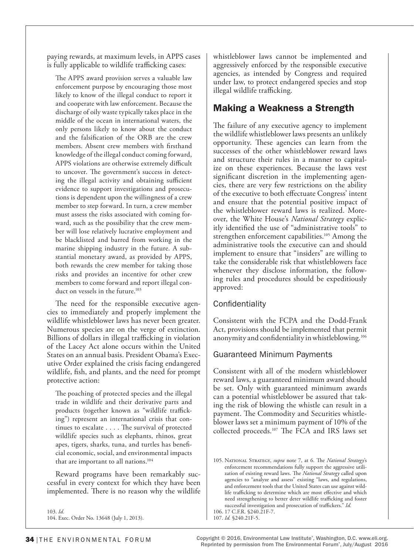paying rewards, at maximum levels, in APPS cases is fully applicable to wildlife trafficking cases:

The APPS award provision serves a valuable law enforcement purpose by encouraging those most likely to know of the illegal conduct to report it and cooperate with law enforcement. Because the discharge of oily waste typically takes place in the middle of the ocean in international waters, the only persons likely to know about the conduct and the falsification of the ORB are the crew members. Absent crew members with firsthand knowledge of the illegal conduct coming forward, APPS violations are otherwise extremely difficult to uncover. The government's success in detecting the illegal activity and obtaining sufficient evidence to support investigations and prosecutions is dependent upon the willingness of a crew member to step forward. In turn, a crew member must assess the risks associated with coming forward, such as the possibility that the crew member will lose relatively lucrative employment and be blacklisted and barred from working in the marine shipping industry in the future. A substantial monetary award, as provided by APPS, both rewards the crew member for taking those risks and provides an incentive for other crew members to come forward and report illegal conduct on vessels in the future.<sup>103</sup>

The need for the responsible executive agencies to immediately and properly implement the wildlife whistleblower laws has never been greater. Numerous species are on the verge of extinction. Billions of dollars in illegal trafficking in violation of the Lacey Act alone occurs within the United States on an annual basis. President Obama's Executive Order explained the crisis facing endangered wildlife, fish, and plants, and the need for prompt protective action:

The poaching of protected species and the illegal trade in wildlife and their derivative parts and products (together known as "wildlife trafficking") represent an international crisis that continues to escalate . . . . The survival of protected wildlife species such as elephants, rhinos, great apes, tigers, sharks, tuna, and turtles has beneficial economic, social, and environmental impacts that are important to all nations.104

Reward programs have been remarkably successful in every context for which they have been implemented. There is no reason why the wildlife

103. *Id.* 104. Exec. Order No. 13648 (July 1, 2013). whistleblower laws cannot be implemented and aggressively enforced by the responsible executive agencies, as intended by Congress and required under law, to protect endangered species and stop illegal wildlife trafficking.

# Making a Weakness a Strength

The failure of any executive agency to implement the wildlife whistleblower laws presents an unlikely opportunity. These agencies can learn from the successes of the other whistleblower reward laws and structure their rules in a manner to capitalize on these experiences. Because the laws vest significant discretion in the implementing agencies, there are very few restrictions on the ability of the executive to both effectuate Congress' intent and ensure that the potential positive impact of the whistleblower reward laws is realized. Moreover, the White House's *National Strategy* explicitly identified the use of "administrative tools" to strengthen enforcement capabilities.<sup>105</sup> Among the administrative tools the executive can and should implement to ensure that "insiders" are willing to take the considerable risk that whistleblowers face whenever they disclose information, the following rules and procedures should be expeditiously approved:

# **Confidentiality**

Consistent with the FCPA and the Dodd-Frank Act, provisions should be implemented that permit anonymity and confidentiality in whistleblowing.106

## Guaranteed Minimum Payments

Consistent with all of the modern whistleblower reward laws, a guaranteed minimum award should be set. Only with guaranteed minimum awards can a potential whistleblower be assured that taking the risk of blowing the whistle can result in a payment. The Commodity and Securities whistleblower laws set a minimum payment of 10% of the collected proceeds.107 The FCA and IRS laws set

<sup>105.</sup> National Strategy, *supra* note 7, at 6. The *National Strategy*'s enforcement recommendations fully support the aggressive utilization of existing reward laws. The *National Strategy* called upon agencies to "analyze and assess" existing "laws, and regulations, and enforcement tools that the United States can use against wildlife trafficking to determine which are most effective and which need strengthening to better deter wildlife trafficking and foster successful investigation and prosecution of traffickers." *Id.* 106. 17 C.F.R. §240.21F-7.

<sup>107.</sup> *Id.* §240.21F-5.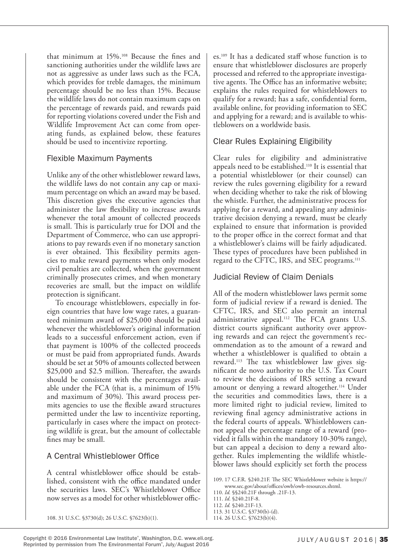that minimum at 15%.108 Because the fines and sanctioning authorities under the wildlife laws are not as aggressive as under laws such as the FCA, which provides for treble damages, the minimum percentage should be no less than 15%. Because the wildlife laws do not contain maximum caps on the percentage of rewards paid, and rewards paid for reporting violations covered under the Fish and Wildlife Improvement Act can come from operating funds, as explained below, these features should be used to incentivize reporting.

# Flexible Maximum Payments

Unlike any of the other whistleblower reward laws, the wildlife laws do not contain any cap or maximum percentage on which an award may be based. This discretion gives the executive agencies that administer the law flexibility to increase awards whenever the total amount of collected proceeds is small. This is particularly true for DOI and the Department of Commerce, who can use appropriations to pay rewards even if no monetary sanction is ever obtained. This flexibility permits agencies to make reward payments when only modest civil penalties are collected, when the government criminally prosecutes crimes, and when monetary recoveries are small, but the impact on wildlife protection is significant.

To encourage whistleblowers, especially in foreign countries that have low wage rates, a guaranteed minimum award of \$25,000 should be paid whenever the whistleblower's original information leads to a successful enforcement action, even if that payment is 100% of the collected proceeds or must be paid from appropriated funds. Awards should be set at 50% of amounts collected between \$25,000 and \$2.5 million. Thereafter, the awards should be consistent with the percentages available under the FCA (that is, a minimum of 15% and maximum of 30%). This award process permits agencies to use the flexible award structures permitted under the law to incentivize reporting, particularly in cases where the impact on protecting wildlife is great, but the amount of collectable fines may be small.

# A Central Whistleblower Office

A central whistleblower office should be established, consistent with the office mandated under the securities laws. SEC's Whistleblower Office now serves as a model for other whistleblower offices.109 It has a dedicated staff whose function is to ensure that whistleblower disclosures are properly processed and referred to the appropriate investigative agents. The Office has an informative website; explains the rules required for whistleblowers to qualify for a reward; has a safe, confidential form, available online, for providing information to SEC and applying for a reward; and is available to whistleblowers on a worldwide basis.

# Clear Rules Explaining Eligibility

Clear rules for eligibility and administrative appeals need to be established.110 It is essential that a potential whistleblower (or their counsel) can review the rules governing eligibility for a reward when deciding whether to take the risk of blowing the whistle. Further, the administrative process for applying for a reward, and appealing any administrative decision denying a reward, must be clearly explained to ensure that information is provided to the proper office in the correct format and that a whistleblower's claims will be fairly adjudicated. These types of procedures have been published in regard to the CFTC, IRS, and SEC programs.111

# Judicial Review of Claim Denials

All of the modern whistleblower laws permit some form of judicial review if a reward is denied. The CFTC, IRS, and SEC also permit an internal administrative appeal.<sup>112</sup> The FCA grants U.S. district courts significant authority over approving rewards and can reject the government's recommendation as to the amount of a reward and whether a whistleblower is qualified to obtain a reward.113 The tax whistleblower law gives significant de novo authority to the U.S. Tax Court to review the decisions of IRS setting a reward amount or denying a reward altogether.<sup>114</sup> Under the securities and commodities laws, there is a more limited right to judicial review, limited to reviewing final agency administrative actions in the federal courts of appeals. Whistleblowers cannot appeal the percentage range of a reward (provided it falls within the mandatory 10-30% range), but can appeal a decision to deny a reward altogether. Rules implementing the wildlife whistleblower laws should explicitly set forth the process

- 109. 17 C.F.R. §240.21F. The SEC Whistleblower website is https:// www.sec.gov/about/offices/owb/owb-resources.shtml.
- 110. *Id.* §§240.21F through .21F-13.
- 111. *Id*. §240.21F-8.
- 112. *Id.* §240.21F-13. 113. 31 U.S.C. §3730(b)-(d).

114. 26 U.S.C. §7623(b)(4).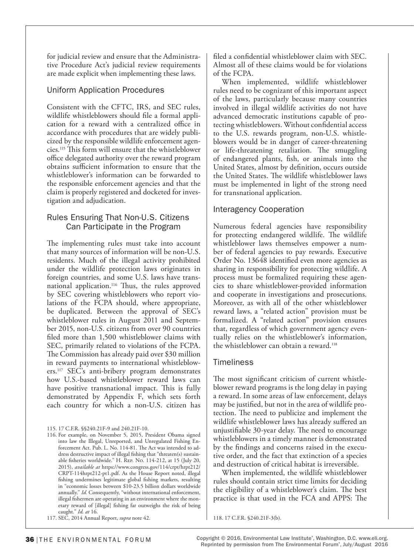for judicial review and ensure that the Administrative Procedure Act's judicial review requirements are made explicit when implementing these laws.

## Uniform Application Procedures

Consistent with the CFTC, IRS, and SEC rules, wildlife whistleblowers should file a formal application for a reward with a centralized office in accordance with procedures that are widely publicized by the responsible wildlife enforcement agencies.115 This form will ensure that the whistleblower office delegated authority over the reward program obtains sufficient information to ensure that the whistleblower's information can be forwarded to the responsible enforcement agencies and that the claim is properly registered and docketed for investigation and adjudication.

## Rules Ensuring That Non-U.S. Citizens Can Participate in the Program

The implementing rules must take into account that many sources of information will be non-U.S. residents. Much of the illegal activity prohibited under the wildlife protection laws originates in foreign countries, and some U.S. laws have transnational application.<sup>116</sup> Thus, the rules approved by SEC covering whistleblowers who report violations of the FCPA should, where appropriate, be duplicated. Between the approval of SEC's whistleblower rules in August 2011 and September 2015, non-U.S. citizens from over 90 countries filed more than 1,500 whistleblower claims with SEC, primarily related to violations of the FCPA. The Commission has already paid over \$30 million in reward payments to international whistleblowers.117 SEC's anti-bribery program demonstrates how U.S.-based whistleblower reward laws can have positive transnational impact. This is fully demonstrated by Appendix F, which sets forth each country for which a non-U.S. citizen has

filed a confidential whistleblower claim with SEC. Almost all of these claims would be for violations of the FCPA.

When implemented, wildlife whistleblower rules need to be cognizant of this important aspect of the laws, particularly because many countries involved in illegal wildlife activities do not have advanced democratic institutions capable of protecting whistleblowers. Without confidential access to the U.S. rewards program, non-U.S. whistleblowers would be in danger of career-threatening or life-threatening retaliation. The smuggling of endangered plants, fish, or animals into the United States, almost by definition, occurs outside the United States. The wildlife whistleblower laws must be implemented in light of the strong need for transnational application.

## Interagency Cooperation

Numerous federal agencies have responsibility for protecting endangered wildlife. The wildlife whistleblower laws themselves empower a number of federal agencies to pay rewards. Executive Order No. 13648 identified even more agencies as sharing in responsibility for protecting wildlife. A process must be formalized requiring these agencies to share whistleblower-provided information and cooperate in investigations and prosecutions. Moreover, as with all of the other whistleblower reward laws, a "related action" provision must be formalized. A "related action" provision ensures that, regardless of which government agency eventually relies on the whistleblower's information, the whistleblower can obtain a reward.118

## **Timeliness**

The most significant criticism of current whistleblower reward programs is the long delay in paying a reward. In some areas of law enforcement, delays may be justified, but not in the area of wildlife protection. The need to publicize and implement the wildlife whistleblower laws has already suffered an unjustifiable 30-year delay. The need to encourage whistleblowers in a timely manner is demonstrated by the findings and concerns raised in the executive order, and the fact that extinction of a species and destruction of critical habitat is irreversible.

When implemented, the wildlife whistleblower rules should contain strict time limits for deciding the eligibility of a whistleblower's claim. The best practice is that used in the FCA and APPS: The

118. 17 C.F.R. §240.21F-3(b).

<sup>115.</sup> 17 C.F.R. §§240.21F-9 and 240.21F-10.

<sup>116.</sup> For example, on November 5, 2015, President Obama signed into law the Illegal, Unreported, and Unregulated Fishing Enforcement Act. Pub. L. No. 114-81. The Act was intended to address destructive impact of illegal fishing that "threaten(s) sustainable fisheries worldwide." H. Rep. No. 114-212, at 15 (July 20, 2015), *available at* https://www.congress.gov/114/crpt/hrpt212/ CRPT-114hrpt212-pt1.pdf. As the House Report noted, illegal fishing undermines legitimate global fishing markets, resulting in "economic losses between \$10-23.5 billion dollars worldwide annually." *Id.* Consequently, "without international enforcement, illegal fishermen are operating in an environment where the monetary reward of [illegal] fishing far outweighs the risk of being caught." *Id. at* 16.

<sup>117.</sup> SEC, 2014 Annual Report, *supra* note 42.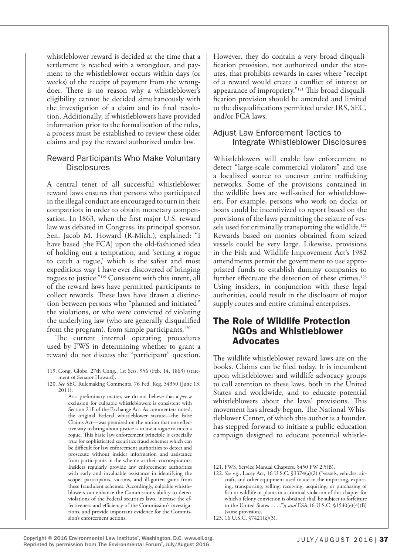whistleblower reward is decided at the time that a settlement is reached with a wrongdoer, and payment to the whistleblower occurs within days (or weeks) of the receipt of payment from the wrongdoer. There is no reason why a whistleblower's eligibility cannot be decided simultaneously with the investigation of a claim and its final resolution. Additionally, if whistleblowers have provided information prior to the formalization of the rules, a process must be established to review these older claims and pay the reward authorized under law.

## Reward Participants Who Make Voluntary **Disclosures**

A central tenet of all successful whistleblower reward laws ensures that persons who participated in the illegal conduct are encouraged to turn in their compatriots in order to obtain monetary compensation. In 1863, when the first major U.S. reward law was debated in Congress, its principal sponsor, Sen. Jacob M. Howard (R-Mich.), explained: "I have based [the FCA] upon the old-fashioned idea of holding out a temptation, and 'setting a rogue to catch a rogue,' which is the safest and most expeditious way I have ever discovered of bringing rogues to justice."119 Consistent with this intent, all of the reward laws have permitted participants to collect rewards. These laws have drawn a distinction between persons who "planned and initiated" the violations, or who were convicted of violating the underlying law (who are generally disqualified from the program), from simple participants.<sup>120</sup>

The current internal operating procedures used by FWS in determining whether to grant a reward do not discuss the "participant" question.

120. *See* SEC Rulemaking Comments, 76 Fed. Reg. 34350 (June 13,  $2011$ ):

As a preliminary matter, we do not believe that a *per se*  exclusion for culpable whistleblowers is consistent with Section 21F of the Exchange Act. As commenters noted, the original Federal whistleblower statute—the False Claims Act—was premised on the notion that one effective way to bring about justice is to use a rogue to catch a rogue. This basic law enforcement principle is especially true for sophisticated securities fraud schemes which can be difficult for law enforcement authorities to detect and prosecute without insider information and assistance from participants in the scheme or their coconspirators. Insiders regularly provide law enforcement authorities with early and invaluable assistance in identifying the scope, participants, victims, and ill-gotten gains from these fraudulent schemes. Accordingly, culpable whistleblowers can enhance the Commission's ability to detect violations of the Federal securities laws, increase the effectiveness and efficiency of the Commission's investigations, and provide important evidence for the Commission's enforcement actions.

However, they do contain a very broad disqualification provision, not authorized under the statutes, that prohibits rewards in cases where "receipt of a reward would create a conflict of interest or appearance of impropriety."121 This broad disqualification provision should be amended and limited to the disqualifications permitted under IRS, SEC, and/or FCA laws.

# Adjust Law Enforcement Tactics to Integrate Whistleblower Disclosures

Whistleblowers will enable law enforcement to detect "large-scale commercial violators" and use a localized source to uncover entire trafficking networks. Some of the provisions contained in the wildlife laws are well-suited for whistleblowers. For example, persons who work on docks or boats could be incentivized to report based on the provisions of the laws permitting the seizure of vessels used for criminally transporting the wildlife.<sup>122</sup> Rewards based on monies obtained from seized vessels could be very large. Likewise, provisions in the Fish and Wildlife Improvement Act's 1982 amendments permit the government to use appropriated funds to establish dummy companies to further effectuate the detection of these crimes.<sup>123</sup> Using insiders, in conjunction with these legal authorities, could result in the disclosure of major supply routes and entire criminal enterprises.

# The Role of Wildlife Protection NGOs and Whistleblower Advocates

The wildlife whistleblower reward laws are on the books. Claims can be filed today. It is incumbent upon whistleblower and wildlife advocacy groups to call attention to these laws, both in the United States and worldwide, and to educate potential whistleblowers about the laws' provisions. This movement has already begun. The National Whistleblower Center, of which this author is a founder, has stepped forward to initiate a public education campaign designed to educate potential whistle-

<sup>119.</sup> Cong. Globe, 27th Cong., 1st Sess. 956 (Feb. 14, 1863) (statement of Senator Howard).

<sup>121.</sup> FWS, Service Manual Chapters, §450 FW 2.5(B).

<sup>122.</sup> *See e.g.*, Lacey Act, 16 U.S.C. §3374(a)(2) ("vessels, vehicles, aircraft, and other equipment used to aid in the importing, exporting, transporting, selling, receiving, acquiring, or purchasing of fish or wildlife or plants in a criminal violation of this chapter for which a felony conviction is obtained shall be subject to forfeiture to the United States . . . ."); *and* ESA,16 U.S.C. §1540(e)(4)(B) (same provision).

<sup>123.</sup> 16 U.S.C. §7421(k)(3).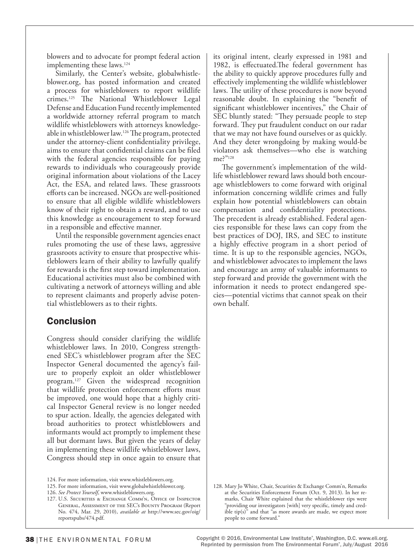blowers and to advocate for prompt federal action implementing these laws.<sup>124</sup>

Similarly, the Center's website, globalwhistleblower.org, has posted information and created a process for whistleblowers to report wildlife crimes.125 The National Whistleblower Legal Defense and Education Fund recently implemented a worldwide attorney referral program to match wildlife whistleblowers with attorneys knowledgeable in whistleblower law.126 The program, protected under the attorney-client confidentiality privilege, aims to ensure that confidential claims can be filed with the federal agencies responsible for paying rewards to individuals who courageously provide original information about violations of the Lacey Act, the ESA, and related laws. These grassroots efforts can be increased. NGOs are well-positioned to ensure that all eligible wildlife whistleblowers know of their right to obtain a reward, and to use this knowledge as encouragement to step forward in a responsible and effective manner.

Until the responsible government agencies enact rules promoting the use of these laws, aggressive grassroots activity to ensure that prospective whistleblowers learn of their ability to lawfully qualify for rewards is the first step toward implementation. Educational activities must also be combined with cultivating a network of attorneys willing and able to represent claimants and properly advise potential whistleblowers as to their rights.

# **Conclusion**

Congress should consider clarifying the wildlife whistleblower laws. In 2010, Congress strengthened SEC's whistleblower program after the SEC Inspector General documented the agency's failure to properly exploit an older whistleblower program.127 Given the widespread recognition that wildlife protection enforcement efforts must be improved, one would hope that a highly critical Inspector General review is no longer needed to spur action. Ideally, the agencies delegated with broad authorities to protect whistleblowers and informants would act promptly to implement these all but dormant laws. But given the years of delay in implementing these wildlife whistleblower laws, Congress should step in once again to ensure that

its original intent, clearly expressed in 1981 and 1982, is effectuated.The federal government has the ability to quickly approve procedures fully and effectively implementing the wildlife whistleblower laws. The utility of these procedures is now beyond reasonable doubt. In explaining the "benefit of significant whistleblower incentives," the Chair of SEC bluntly stated: "They persuade people to step forward. They put fraudulent conduct on our radar that we may not have found ourselves or as quickly. And they deter wrongdoing by making would-be violators ask themselves—who else is watching me?"128

The government's implementation of the wildlife whistleblower reward laws should both encourage whistleblowers to come forward with original information concerning wildlife crimes and fully explain how potential whistleblowers can obtain compensation and confidentiality protections. The precedent is already established. Federal agencies responsible for these laws can copy from the best practices of DOJ, IRS, and SEC to institute a highly effective program in a short period of time. It is up to the responsible agencies, NGOs, and whistleblower advocates to implement the laws and encourage an army of valuable informants to step forward and provide the government with the information it needs to protect endangered species—potential victims that cannot speak on their own behalf.

<sup>124.</sup> For more information, visit www.whistleblowers.org.

<sup>125.</sup> For more information, visit www.globalwhistleblower.org.

<sup>126.</sup> *See Protect Yourself*, www.whistleblowers.org.

<sup>127.</sup> U.S. SECURITIES & EXCHANGE COMM'N, OFFICE OF INSPECTOR General, Assessment of the SEC's Bounty Program (Report No. 474, Mar. 29, 2010), *available at* http://www.sec.gov/oig/ reportspubs/474.pdf.

<sup>128.</sup> Mary Jo White, Chair, Securities & Exchange Comm'n, Remarks at the Securities Enforcement Forum (Oct. 9, 2013). In her remarks, Chair White explained that the whistleblower tips were "providing our investigators [with] very specific, timely and credible tip(s)" and that "as more awards are made, we expect more people to come forward."